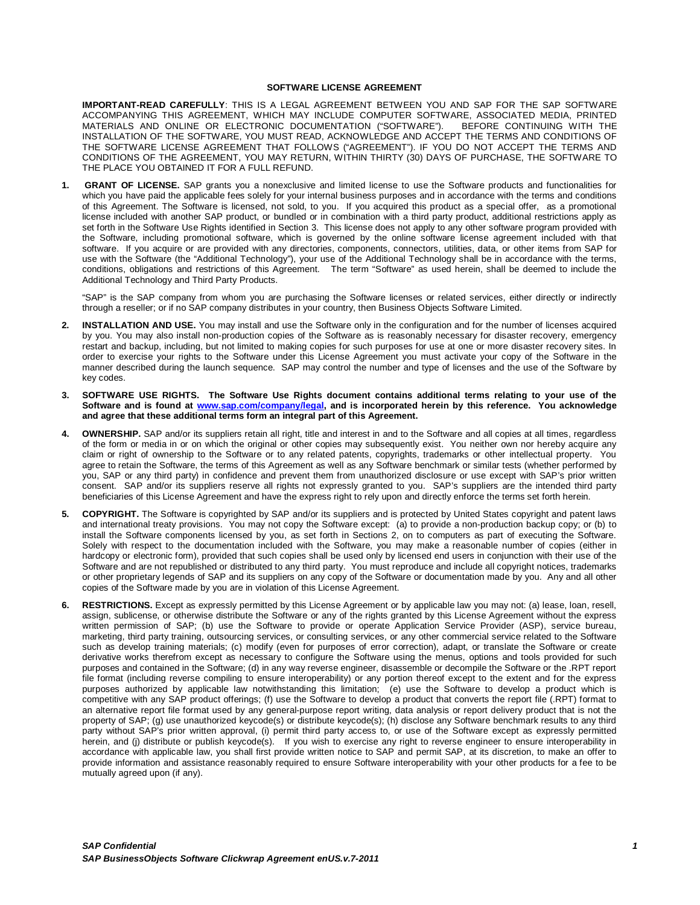#### **SOFTWARE LICENSE AGREEMENT**

**IMPORTANT-READ CAREFULLY**: THIS IS A LEGAL AGREEMENT BETWEEN YOU AND SAP FOR THE SAP SOFTWARE ACCOMPANYING THIS AGREEMENT, WHICH MAY INCLUDE COMPUTER SOFTWARE, ASSOCIATED MEDIA, PRINTED MATERIALS AND ONLINE OR ELECTRONIC DOCUMENTATION ("SOFTWARE"). BEFORE CONTINUING WITH THE INSTALLATION OF THE SOFTWARE, YOU MUST READ, ACKNOWLEDGE AND ACCEPT THE TERMS AND CONDITIONS OF THE SOFTWARE LICENSE AGREEMENT THAT FOLLOWS ("AGREEMENT"). IF YOU DO NOT ACCEPT THE TERMS AND CONDITIONS OF THE AGREEMENT, YOU MAY RETURN, WITHIN THIRTY (30) DAYS OF PURCHASE, THE SOFTWARE TO THE PLACE YOU OBTAINED IT FOR A FULL REFUND.

**1. GRANT OF LICENSE.** SAP grants you a nonexclusive and limited license to use the Software products and functionalities for which you have paid the applicable fees solely for your internal business purposes and in accordance with the terms and conditions of this Agreement. The Software is licensed, not sold, to you. If you acquired this product as a special offer, as a promotional license included with another SAP product, or bundled or in combination with a third party product, additional restrictions apply as set forth in the Software Use Rights identified in Section 3. This license does not apply to any other software program provided with the Software, including promotional software, which is governed by the online software license agreement included with that software. If you acquire or are provided with any directories, components, connectors, utilities, data, or other items from SAP for use with the Software (the "Additional Technology"), your use of the Additional Technology shall be in accordance with the terms, conditions, obligations and restrictions of this Agreement. The term "Software" as used herein, shall be deemed to include the Additional Technology and Third Party Products.

"SAP" is the SAP company from whom you are purchasing the Software licenses or related services, either directly or indirectly through a reseller; or if no SAP company distributes in your country, then Business Objects Software Limited.

- **2. INSTALLATION AND USE.** You may install and use the Software only in the configuration and for the number of licenses acquired by you. You may also install non-production copies of the Software as is reasonably necessary for disaster recovery, emergency restart and backup, including, but not limited to making copies for such purposes for use at one or more disaster recovery sites. In order to exercise your rights to the Software under this License Agreement you must activate your copy of the Software in the manner described during the launch sequence. SAP may control the number and type of licenses and the use of the Software by key codes.
- **3. SOFTWARE USE RIGHTS. The Software Use Rights document contains additional terms relating to your use of the Software and is found at www.sap.com/company/legal, and is incorporated herein by this reference. You acknowledge and agree that these additional terms form an integral part of this Agreement.**
- **4. OWNERSHIP.** SAP and/or its suppliers retain all right, title and interest in and to the Software and all copies at all times, regardless of the form or media in or on which the original or other copies may subsequently exist. You neither own nor hereby acquire any claim or right of ownership to the Software or to any related patents, copyrights, trademarks or other intellectual property. You agree to retain the Software, the terms of this Agreement as well as any Software benchmark or similar tests (whether performed by you, SAP or any third party) in confidence and prevent them from unauthorized disclosure or use except with SAP's prior written consent. SAP and/or its suppliers reserve all rights not expressly granted to you. SAP's suppliers are the intended third party beneficiaries of this License Agreement and have the express right to rely upon and directly enforce the terms set forth herein.
- **5. COPYRIGHT.** The Software is copyrighted by SAP and/or its suppliers and is protected by United States copyright and patent laws and international treaty provisions. You may not copy the Software except: (a) to provide a non-production backup copy; or (b) to install the Software components licensed by you, as set forth in Sections 2, on to computers as part of executing the Software. Solely with respect to the documentation included with the Software, you may make a reasonable number of copies (either in hardcopy or electronic form), provided that such copies shall be used only by licensed end users in conjunction with their use of the Software and are not republished or distributed to any third party. You must reproduce and include all copyright notices, trademarks or other proprietary legends of SAP and its suppliers on any copy of the Software or documentation made by you. Any and all other copies of the Software made by you are in violation of this License Agreement.
- **6. RESTRICTIONS.** Except as expressly permitted by this License Agreement or by applicable law you may not: (a) lease, loan, resell, assign, sublicense, or otherwise distribute the Software or any of the rights granted by this License Agreement without the express written permission of SAP; (b) use the Software to provide or operate Application Service Provider (ASP), service bureau, marketing, third party training, outsourcing services, or consulting services, or any other commercial service related to the Software such as develop training materials; (c) modify (even for purposes of error correction), adapt, or translate the Software or create derivative works therefrom except as necessary to configure the Software using the menus, options and tools provided for such purposes and contained in the Software; (d) in any way reverse engineer, disassemble or decompile the Software or the .RPT report file format (including reverse compiling to ensure interoperability) or any portion thereof except to the extent and for the express purposes authorized by applicable law notwithstanding this limitation; (e) use the Software to develop a product which is competitive with any SAP product offerings; (f) use the Software to develop a product that converts the report file (.RPT) format to an alternative report file format used by any general-purpose report writing, data analysis or report delivery product that is not the property of SAP; (g) use unauthorized keycode(s) or distribute keycode(s); (h) disclose any Software benchmark results to any third party without SAP's prior written approval, (i) permit third party access to, or use of the Software except as expressly permitted herein, and (j) distribute or publish keycode(s). If you wish to exercise any right to reverse engineer to ensure interoperability in accordance with applicable law, you shall first provide written notice to SAP and permit SAP, at its discretion, to make an offer to provide information and assistance reasonably required to ensure Software interoperability with your other products for a fee to be mutually agreed upon (if any).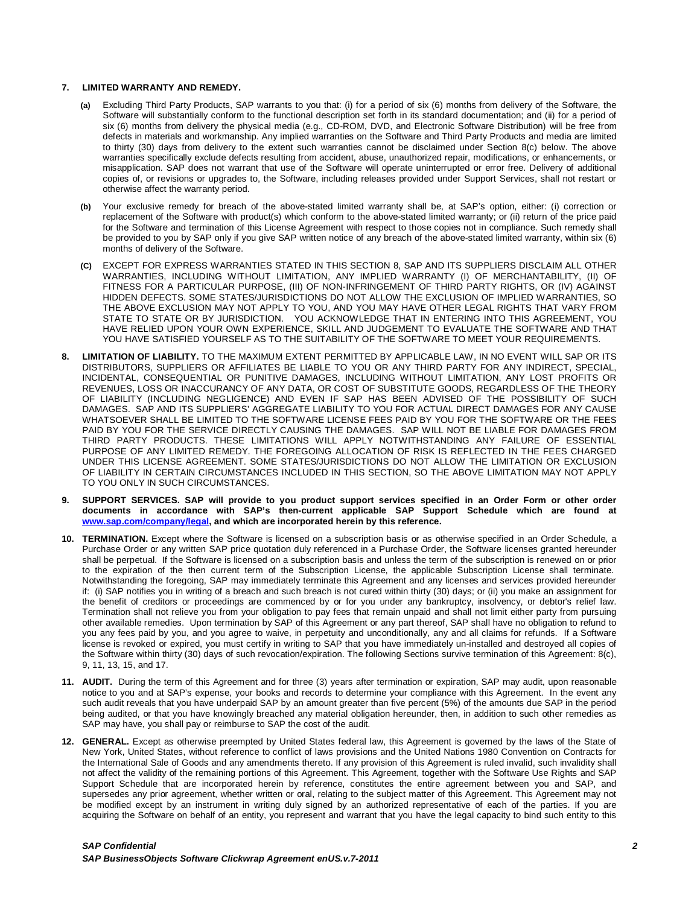#### **7. LIMITED WARRANTY AND REMEDY.**

- **(a)** Excluding Third Party Products, SAP warrants to you that: (i) for a period of six (6) months from delivery of the Software, the Software will substantially conform to the functional description set forth in its standard documentation; and (ii) for a period of six (6) months from delivery the physical media (e.g., CD-ROM, DVD, and Electronic Software Distribution) will be free from defects in materials and workmanship. Any implied warranties on the Software and Third Party Products and media are limited to thirty (30) days from delivery to the extent such warranties cannot be disclaimed under Section 8(c) below. The above warranties specifically exclude defects resulting from accident, abuse, unauthorized repair, modifications, or enhancements, or misapplication. SAP does not warrant that use of the Software will operate uninterrupted or error free. Delivery of additional copies of, or revisions or upgrades to, the Software, including releases provided under Support Services, shall not restart or otherwise affect the warranty period.
- **(b)** Your exclusive remedy for breach of the above-stated limited warranty shall be, at SAP's option, either: (i) correction or replacement of the Software with product(s) which conform to the above-stated limited warranty; or (ii) return of the price paid for the Software and termination of this License Agreement with respect to those copies not in compliance. Such remedy shall be provided to you by SAP only if you give SAP written notice of any breach of the above-stated limited warranty, within six (6) months of delivery of the Software.
- **(C)** EXCEPT FOR EXPRESS WARRANTIES STATED IN THIS SECTION 8, SAP AND ITS SUPPLIERS DISCLAIM ALL OTHER WARRANTIES, INCLUDING WITHOUT LIMITATION, ANY IMPLIED WARRANTY (I) OF MERCHANTABILITY, (II) OF FITNESS FOR A PARTICULAR PURPOSE, (III) OF NON-INFRINGEMENT OF THIRD PARTY RIGHTS, OR (IV) AGAINST HIDDEN DEFECTS. SOME STATES/JURISDICTIONS DO NOT ALLOW THE EXCLUSION OF IMPLIED WARRANTIES, SO THE ABOVE EXCLUSION MAY NOT APPLY TO YOU, AND YOU MAY HAVE OTHER LEGAL RIGHTS THAT VARY FROM STATE TO STATE OR BY JURISDICTION. YOU ACKNOWLEDGE THAT IN ENTERING INTO THIS AGREEMENT, YOU HAVE RELIED UPON YOUR OWN EXPERIENCE, SKILL AND JUDGEMENT TO EVALUATE THE SOFTWARE AND THAT YOU HAVE SATISFIED YOURSELF AS TO THE SUITABILITY OF THE SOFTWARE TO MEET YOUR REQUIREMENTS.
- **8. LIMITATION OF LIABILITY.** TO THE MAXIMUM EXTENT PERMITTED BY APPLICABLE LAW, IN NO EVENT WILL SAP OR ITS DISTRIBUTORS, SUPPLIERS OR AFFILIATES BE LIABLE TO YOU OR ANY THIRD PARTY FOR ANY INDIRECT, SPECIAL, INCIDENTAL, CONSEQUENTIAL OR PUNITIVE DAMAGES, INCLUDING WITHOUT LIMITATION, ANY LOST PROFITS OR REVENUES, LOSS OR INACCURANCY OF ANY DATA, OR COST OF SUBSTITUTE GOODS, REGARDLESS OF THE THEORY OF LIABILITY (INCLUDING NEGLIGENCE) AND EVEN IF SAP HAS BEEN ADVISED OF THE POSSIBILITY OF SUCH DAMAGES. SAP AND ITS SUPPLIERS' AGGREGATE LIABILITY TO YOU FOR ACTUAL DIRECT DAMAGES FOR ANY CAUSE WHATSOEVER SHALL BE LIMITED TO THE SOFTWARE LICENSE FEES PAID BY YOU FOR THE SOFTWARE OR THE FEES PAID BY YOU FOR THE SERVICE DIRECTLY CAUSING THE DAMAGES. SAP WILL NOT BE LIABLE FOR DAMAGES FROM THIRD PARTY PRODUCTS. THESE LIMITATIONS WILL APPLY NOTWITHSTANDING ANY FAILURE OF ESSENTIAL PURPOSE OF ANY LIMITED REMEDY. THE FOREGOING ALLOCATION OF RISK IS REFLECTED IN THE FEES CHARGED UNDER THIS LICENSE AGREEMENT. SOME STATES/JURISDICTIONS DO NOT ALLOW THE LIMITATION OR EXCLUSION OF LIABILITY IN CERTAIN CIRCUMSTANCES INCLUDED IN THIS SECTION, SO THE ABOVE LIMITATION MAY NOT APPLY TO YOU ONLY IN SUCH CIRCUMSTANCES.
- **9. SUPPORT SERVICES. SAP will provide to you product support services specified in an Order Form or other order documents in accordance with SAP's then-current applicable SAP Support Schedule which are found at www.sap.com/company/legal, and which are incorporated herein by this reference.**
- **10. TERMINATION.** Except where the Software is licensed on a subscription basis or as otherwise specified in an Order Schedule, a Purchase Order or any written SAP price quotation duly referenced in a Purchase Order, the Software licenses granted hereunder shall be perpetual. If the Software is licensed on a subscription basis and unless the term of the subscription is renewed on or prior to the expiration of the then current term of the Subscription License, the applicable Subscription License shall terminate. Notwithstanding the foregoing, SAP may immediately terminate this Agreement and any licenses and services provided hereunder if: (i) SAP notifies you in writing of a breach and such breach is not cured within thirty (30) days; or (ii) you make an assignment for the benefit of creditors or proceedings are commenced by or for you under any bankruptcy, insolvency, or debtor's relief law. Termination shall not relieve you from your obligation to pay fees that remain unpaid and shall not limit either party from pursuing other available remedies. Upon termination by SAP of this Agreement or any part thereof, SAP shall have no obligation to refund to you any fees paid by you, and you agree to waive, in perpetuity and unconditionally, any and all claims for refunds. If a Software license is revoked or expired, you must certify in writing to SAP that you have immediately un-installed and destroyed all copies of the Software within thirty (30) days of such revocation/expiration. The following Sections survive termination of this Agreement: 8(c), 9, 11, 13, 15, and 17.
- **11. AUDIT.** During the term of this Agreement and for three (3) years after termination or expiration, SAP may audit, upon reasonable notice to you and at SAP's expense, your books and records to determine your compliance with this Agreement. In the event any such audit reveals that you have underpaid SAP by an amount greater than five percent (5%) of the amounts due SAP in the period being audited, or that you have knowingly breached any material obligation hereunder, then, in addition to such other remedies as SAP may have, you shall pay or reimburse to SAP the cost of the audit.
- **12. GENERAL.** Except as otherwise preempted by United States federal law, this Agreement is governed by the laws of the State of New York, United States, without reference to conflict of laws provisions and the United Nations 1980 Convention on Contracts for the International Sale of Goods and any amendments thereto. If any provision of this Agreement is ruled invalid, such invalidity shall not affect the validity of the remaining portions of this Agreement. This Agreement, together with the Software Use Rights and SAP Support Schedule that are incorporated herein by reference, constitutes the entire agreement between you and SAP, and supersedes any prior agreement, whether written or oral, relating to the subject matter of this Agreement. This Agreement may not be modified except by an instrument in writing duly signed by an authorized representative of each of the parties. If you are acquiring the Software on behalf of an entity, you represent and warrant that you have the legal capacity to bind such entity to this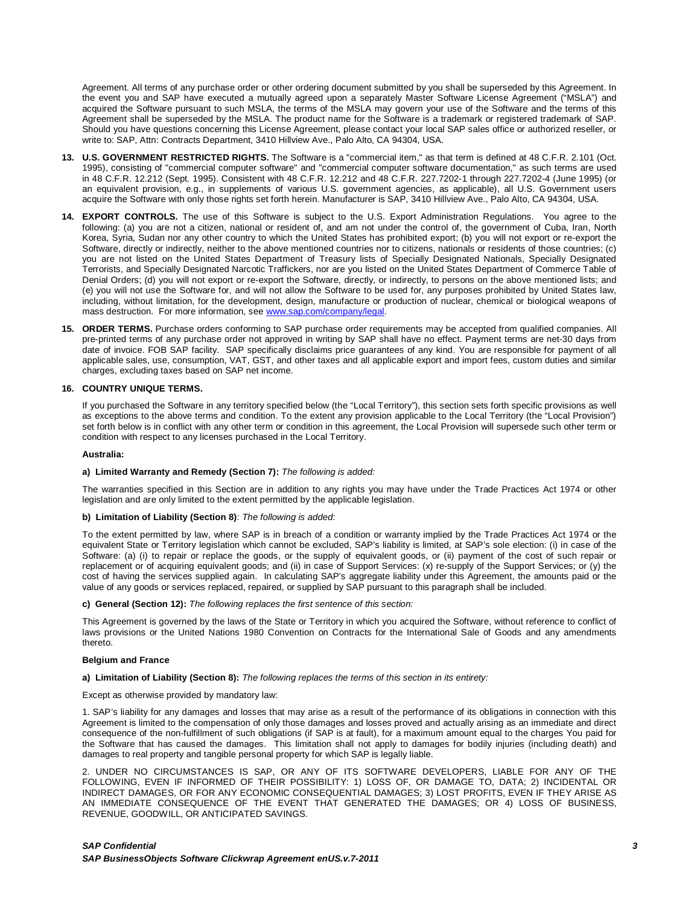Agreement. All terms of any purchase order or other ordering document submitted by you shall be superseded by this Agreement. In the event you and SAP have executed a mutually agreed upon a separately Master Software License Agreement ("MSLA") and acquired the Software pursuant to such MSLA, the terms of the MSLA may govern your use of the Software and the terms of this Agreement shall be superseded by the MSLA. The product name for the Software is a trademark or registered trademark of SAP. Should you have questions concerning this License Agreement, please contact your local SAP sales office or authorized reseller, or write to: SAP, Attn: Contracts Department, 3410 Hillview Ave., Palo Alto, CA 94304, USA.

- **13. U.S. GOVERNMENT RESTRICTED RIGHTS.** The Software is a "commercial item," as that term is defined at 48 C.F.R. 2.101 (Oct. 1995), consisting of "commercial computer software" and "commercial computer software documentation," as such terms are used in 48 C.F.R. 12.212 (Sept. 1995). Consistent with 48 C.F.R. 12.212 and 48 C.F.R. 227.7202-1 through 227.7202-4 (June 1995) (or an equivalent provision, e.g., in supplements of various U.S. government agencies, as applicable), all U.S. Government users acquire the Software with only those rights set forth herein. Manufacturer is SAP, 3410 Hillview Ave., Palo Alto, CA 94304, USA.
- **14. EXPORT CONTROLS.** The use of this Software is subject to the U.S. Export Administration Regulations. You agree to the following: (a) you are not a citizen, national or resident of, and am not under the control of, the government of Cuba, Iran, North Korea, Syria, Sudan nor any other country to which the United States has prohibited export; (b) you will not export or re-export the Software, directly or indirectly, neither to the above mentioned countries nor to citizens, nationals or residents of those countries; (c) you are not listed on the United States Department of Treasury lists of Specially Designated Nationals, Specially Designated Terrorists, and Specially Designated Narcotic Traffickers, nor are you listed on the United States Department of Commerce Table of Denial Orders; (d) you will not export or re-export the Software, directly, or indirectly, to persons on the above mentioned lists; and (e) you will not use the Software for, and will not allow the Software to be used for, any purposes prohibited by United States law, including, without limitation, for the development, design, manufacture or production of nuclear, chemical or biological weapons of mass destruction. For more information, see www.sap.com/company/legal.
- **15. ORDER TERMS.** Purchase orders conforming to SAP purchase order requirements may be accepted from qualified companies. All pre-printed terms of any purchase order not approved in writing by SAP shall have no effect. Payment terms are net-30 days from date of invoice. FOB SAP facility. SAP specifically disclaims price guarantees of any kind. You are responsible for payment of all applicable sales, use, consumption, VAT, GST, and other taxes and all applicable export and import fees, custom duties and similar charges, excluding taxes based on SAP net income.

### **16. COUNTRY UNIQUE TERMS.**

If you purchased the Software in any territory specified below (the "Local Territory"), this section sets forth specific provisions as well as exceptions to the above terms and condition. To the extent any provision applicable to the Local Territory (the "Local Provision") set forth below is in conflict with any other term or condition in this agreement, the Local Provision will supersede such other term or condition with respect to any licenses purchased in the Local Territory.

#### **Australia:**

# **a) Limited Warranty and Remedy (Section 7):** *The following is added:*

The warranties specified in this Section are in addition to any rights you may have under the Trade Practices Act 1974 or other legislation and are only limited to the extent permitted by the applicable legislation.

# **b) Limitation of Liability (Section 8)**: *The following is added:*

To the extent permitted by law, where SAP is in breach of a condition or warranty implied by the Trade Practices Act 1974 or the equivalent State or Territory legislation which cannot be excluded, SAP's liability is limited, at SAP's sole election: (i) in case of the Software: (a) (i) to repair or replace the goods, or the supply of equivalent goods, or (ii) payment of the cost of such repair or replacement or of acquiring equivalent goods; and (ii) in case of Support Services: (x) re-supply of the Support Services; or (y) the cost of having the services supplied again. In calculating SAP's aggregate liability under this Agreement, the amounts paid or the value of any goods or services replaced, repaired, or supplied by SAP pursuant to this paragraph shall be included.

#### **c) General (Section 12):** *The following replaces the first sentence of this section:*

This Agreement is governed by the laws of the State or Territory in which you acquired the Software, without reference to conflict of laws provisions or the United Nations 1980 Convention on Contracts for the International Sale of Goods and any amendments thereto.

#### **Belgium and France**

**a) Limitation of Liability (Section 8):** *The following replaces the terms of this section in its entirety:* 

# Except as otherwise provided by mandatory law:

1. SAP's liability for any damages and losses that may arise as a result of the performance of its obligations in connection with this Agreement is limited to the compensation of only those damages and losses proved and actually arising as an immediate and direct consequence of the non-fulfillment of such obligations (if SAP is at fault), for a maximum amount equal to the charges You paid for the Software that has caused the damages. This limitation shall not apply to damages for bodily injuries (including death) and damages to real property and tangible personal property for which SAP is legally liable.

2. UNDER NO CIRCUMSTANCES IS SAP, OR ANY OF ITS SOFTWARE DEVELOPERS, LIABLE FOR ANY OF THE FOLLOWING, EVEN IF INFORMED OF THEIR POSSIBILITY: 1) LOSS OF, OR DAMAGE TO, DATA; 2) INCIDENTAL OR INDIRECT DAMAGES, OR FOR ANY ECONOMIC CONSEQUENTIAL DAMAGES; 3) LOST PROFITS, EVEN IF THEY ARISE AS AN IMMEDIATE CONSEQUENCE OF THE EVENT THAT GENERATED THE DAMAGES; OR 4) LOSS OF BUSINESS, REVENUE, GOODWILL, OR ANTICIPATED SAVINGS.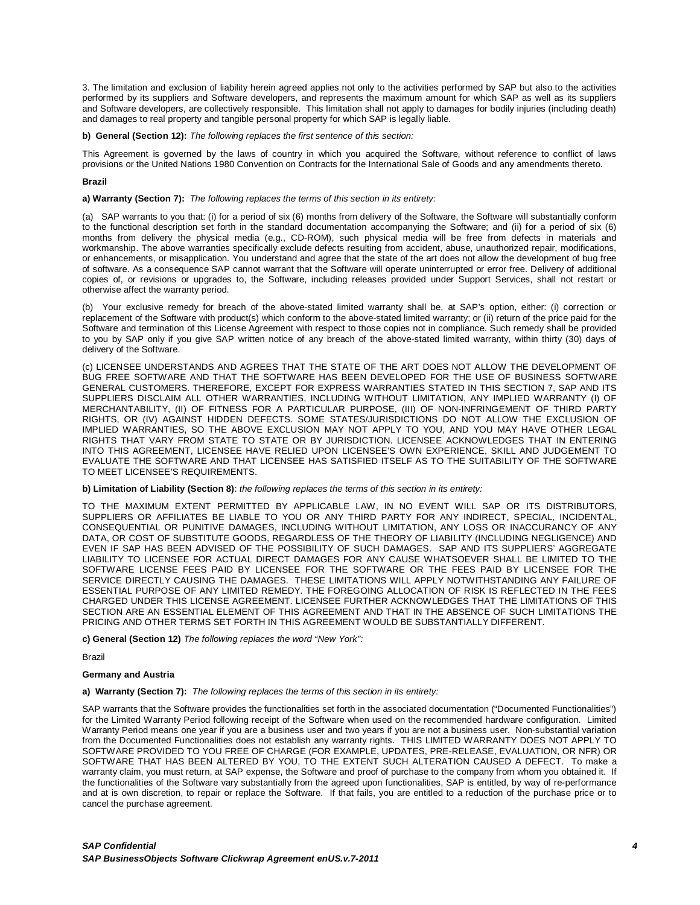3. The limitation and exclusion of liability herein agreed applies not only to the activities performed by SAP but also to the activities performed by its suppliers and Software developers, and represents the maximum amount for which SAP as well as its suppliers and Software developers, are collectively responsible. This limitation shall not apply to damages for bodily injuries (including death) and damages to real property and tangible personal property for which SAP is legally liable.

**b) General (Section 12):** *The following replaces the first sentence of this section:*

This Agreement is governed by the laws of country in which you acquired the Software, without reference to conflict of laws provisions or the United Nations 1980 Convention on Contracts for the International Sale of Goods and any amendments thereto.

# **Brazil**

**a) Warranty (Section 7):** *The following replaces the terms of this section in its entirety:* 

(a) SAP warrants to you that: (i) for a period of six (6) months from delivery of the Software, the Software will substantially conform to the functional description set forth in the standard documentation accompanying the Software; and (ii) for a period of six (6) months from delivery the physical media (e.g., CD-ROM), such physical media will be free from defects in materials and workmanship. The above warranties specifically exclude defects resulting from accident, abuse, unauthorized repair, modifications, or enhancements, or misapplication. You understand and agree that the state of the art does not allow the development of bug free of software. As a consequence SAP cannot warrant that the Software will operate uninterrupted or error free. Delivery of additional copies of, or revisions or upgrades to, the Software, including releases provided under Support Services, shall not restart or otherwise affect the warranty period.

(b) Your exclusive remedy for breach of the above-stated limited warranty shall be, at SAP's option, either: (i) correction or replacement of the Software with product(s) which conform to the above-stated limited warranty; or (ii) return of the price paid for the Software and termination of this License Agreement with respect to those copies not in compliance. Such remedy shall be provided to you by SAP only if you give SAP written notice of any breach of the above-stated limited warranty, within thirty (30) days of delivery of the Software.

(c) LICENSEE UNDERSTANDS AND AGREES THAT THE STATE OF THE ART DOES NOT ALLOW THE DEVELOPMENT OF BUG FREE SOFTWARE AND THAT THE SOFTWARE HAS BEEN DEVELOPED FOR THE USE OF BUSINESS SOFTWARE GENERAL CUSTOMERS. THEREFORE, EXCEPT FOR EXPRESS WARRANTIES STATED IN THIS SECTION 7, SAP AND ITS SUPPLIERS DISCLAIM ALL OTHER WARRANTIES, INCLUDING WITHOUT LIMITATION, ANY IMPLIED WARRANTY (I) OF MERCHANTABILITY, (II) OF FITNESS FOR A PARTICULAR PURPOSE, (III) OF NON-INFRINGEMENT OF THIRD PARTY RIGHTS, OR (IV) AGAINST HIDDEN DEFECTS. SOME STATES/JURISDICTIONS DO NOT ALLOW THE EXCLUSION OF IMPLIED WARRANTIES, SO THE ABOVE EXCLUSION MAY NOT APPLY TO YOU, AND YOU MAY HAVE OTHER LEGAL RIGHTS THAT VARY FROM STATE TO STATE OR BY JURISDICTION. LICENSEE ACKNOWLEDGES THAT IN ENTERING INTO THIS AGREEMENT, LICENSEE HAVE RELIED UPON LICENSEE'S OWN EXPERIENCE, SKILL AND JUDGEMENT TO EVALUATE THE SOFTWARE AND THAT LICENSEE HAS SATISFIED ITSELF AS TO THE SUITABILITY OF THE SOFTWARE TO MEET LICENSEE'S REQUIREMENTS.

**b) Limitation of Liability (Section 8)**: *the following replaces the terms of this section in its entirety:*

TO THE MAXIMUM EXTENT PERMITTED BY APPLICABLE LAW, IN NO EVENT WILL SAP OR ITS DISTRIBUTORS, SUPPLIERS OR AFFILIATES BE LIABLE TO YOU OR ANY THIRD PARTY FOR ANY INDIRECT, SPECIAL, INCIDENTAL, CONSEQUENTIAL OR PUNITIVE DAMAGES, INCLUDING WITHOUT LIMITATION, ANY LOSS OR INACCURANCY OF ANY DATA, OR COST OF SUBSTITUTE GOODS, REGARDLESS OF THE THEORY OF LIABILITY (INCLUDING NEGLIGENCE) AND EVEN IF SAP HAS BEEN ADVISED OF THE POSSIBILITY OF SUCH DAMAGES. SAP AND ITS SUPPLIERS' AGGREGATE LIABILITY TO LICENSEE FOR ACTUAL DIRECT DAMAGES FOR ANY CAUSE WHATSOEVER SHALL BE LIMITED TO THE SOFTWARE LICENSE FEES PAID BY LICENSEE FOR THE SOFTWARE OR THE FEES PAID BY LICENSEE FOR THE SERVICE DIRECTLY CAUSING THE DAMAGES. THESE LIMITATIONS WILL APPLY NOTWITHSTANDING ANY FAILURE OF ESSENTIAL PURPOSE OF ANY LIMITED REMEDY. THE FOREGOING ALLOCATION OF RISK IS REFLECTED IN THE FEES CHARGED UNDER THIS LICENSE AGREEMENT. LICENSEE FURTHER ACKNOWLEDGES THAT THE LIMITATIONS OF THIS SECTION ARE AN ESSENTIAL ELEMENT OF THIS AGREEMENT AND THAT IN THE ABSENCE OF SUCH LIMITATIONS THE PRICING AND OTHER TERMS SET FORTH IN THIS AGREEMENT WOULD BE SUBSTANTIALLY DIFFERENT.

**c) General (Section 12)** *The following replaces the word "New York":*

Brazil

### **Germany and Austria**

**a) Warranty (Section 7):** *The following replaces the terms of this section in its entirety:* 

SAP warrants that the Software provides the functionalities set forth in the associated documentation ("Documented Functionalities") for the Limited Warranty Period following receipt of the Software when used on the recommended hardware configuration. Limited Warranty Period means one year if you are a business user and two years if you are not a business user. Non-substantial variation from the Documented Functionalities does not establish any warranty rights. THIS LIMITED WARRANTY DOES NOT APPLY TO SOFTWARE PROVIDED TO YOU FREE OF CHARGE (FOR EXAMPLE, UPDATES, PRE-RELEASE, EVALUATION, OR NFR) OR SOFTWARE THAT HAS BEEN ALTERED BY YOU, TO THE EXTENT SUCH ALTERATION CAUSED A DEFECT. To make a warranty claim, you must return, at SAP expense, the Software and proof of purchase to the company from whom you obtained it. If the functionalities of the Software vary substantially from the agreed upon functionalities, SAP is entitled, by way of re-performance and at is own discretion, to repair or replace the Software. If that fails, you are entitled to a reduction of the purchase price or to cancel the purchase agreement.